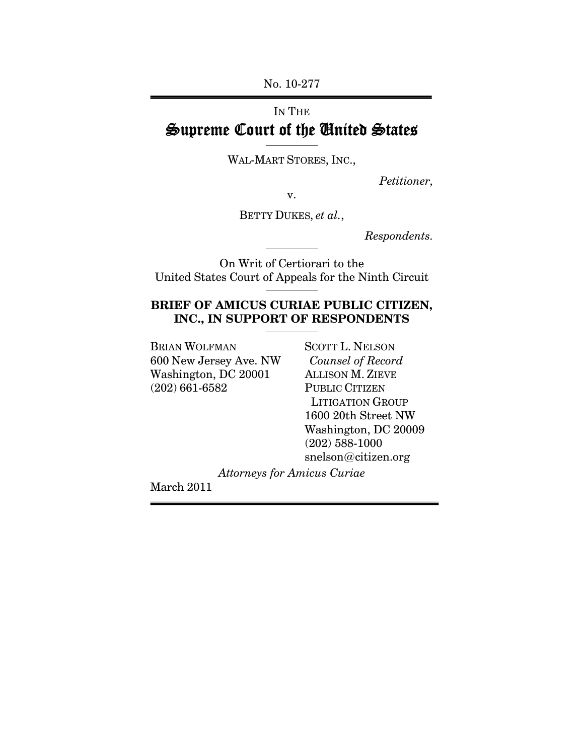No. 10-277

# IN THE Supreme Court of the United States

WAL-MART STORES, INC.,

*Petitioner,* 

v.

BETTY DUKES, *et al.*,

*Respondents.* 

On Writ of Certiorari to the United States Court of Appeals for the Ninth Circuit

## **BRIEF OF AMICUS CURIAE PUBLIC CITIZEN, INC., IN SUPPORT OF RESPONDENTS**

BRIAN WOLFMAN SCOTT L. NELSON 600 New Jersey Ave. NW *Counsel of Record*  Washington, DC 20001 ALLISON M. ZIEVE (202) 661-6582 PUBLIC CITIZEN

 LITIGATION GROUP 1600 20th Street NW Washington, DC 20009 (202) 588-1000 snelson@citizen.org

*Attorneys for Amicus Curiae* 

March 2011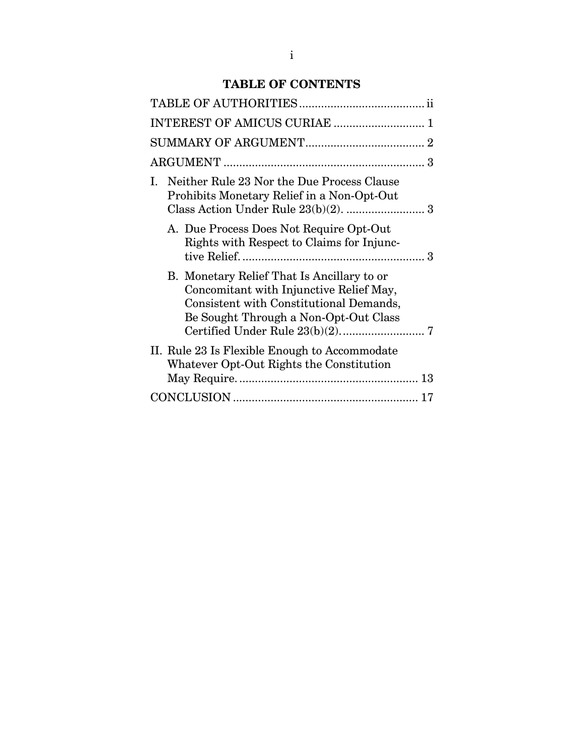## **TABLE OF CONTENTS**

| INTEREST OF AMICUS CURIAE  1                                                                                                                                              |
|---------------------------------------------------------------------------------------------------------------------------------------------------------------------------|
|                                                                                                                                                                           |
|                                                                                                                                                                           |
| Neither Rule 23 Nor the Due Process Clause<br>L.<br>Prohibits Monetary Relief in a Non-Opt-Out                                                                            |
| A. Due Process Does Not Require Opt-Out<br>Rights with Respect to Claims for Injunc-                                                                                      |
| B. Monetary Relief That Is Ancillary to or<br>Concomitant with Injunctive Relief May,<br>Consistent with Constitutional Demands,<br>Be Sought Through a Non-Opt-Out Class |
| II. Rule 23 Is Flexible Enough to Accommodate<br>Whatever Opt-Out Rights the Constitution                                                                                 |
|                                                                                                                                                                           |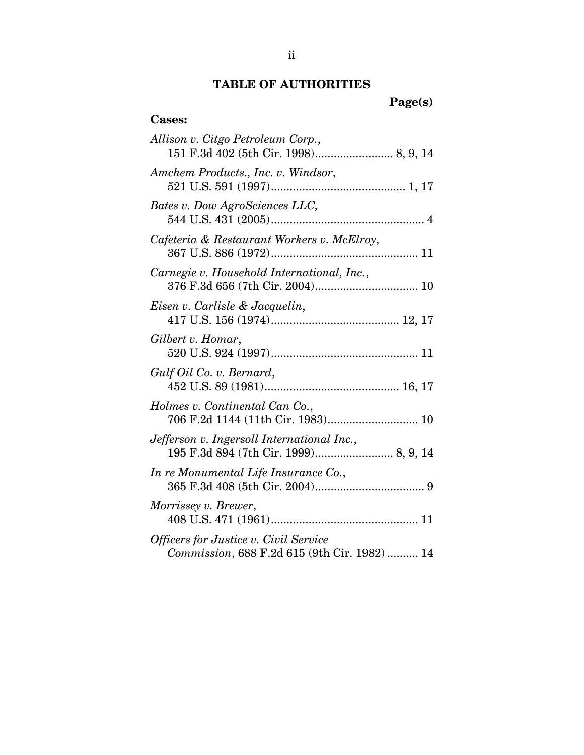## **TABLE OF AUTHORITIES**

**Page(s)** 

## **Cases:**

| Allison v. Citgo Petroleum Corp.,                                                     |
|---------------------------------------------------------------------------------------|
| Amchem Products., Inc. v. Windsor,                                                    |
| Bates v. Dow AgroSciences LLC,                                                        |
| Cafeteria & Restaurant Workers v. McElroy,                                            |
| Carnegie v. Household International, Inc.,                                            |
| Eisen v. Carlisle & Jacquelin,                                                        |
| Gilbert v. Homar,                                                                     |
| Gulf Oil Co. v. Bernard,                                                              |
| Holmes v. Continental Can Co.,                                                        |
| Jefferson v. Ingersoll International Inc.,<br>195 F.3d 894 (7th Cir. 1999) 8, 9, 14   |
| In re Monumental Life Insurance Co.,                                                  |
| Morrissey v. Brewer,                                                                  |
| Officers for Justice v. Civil Service<br>Commission, 688 F.2d 615 (9th Cir. 1982)  14 |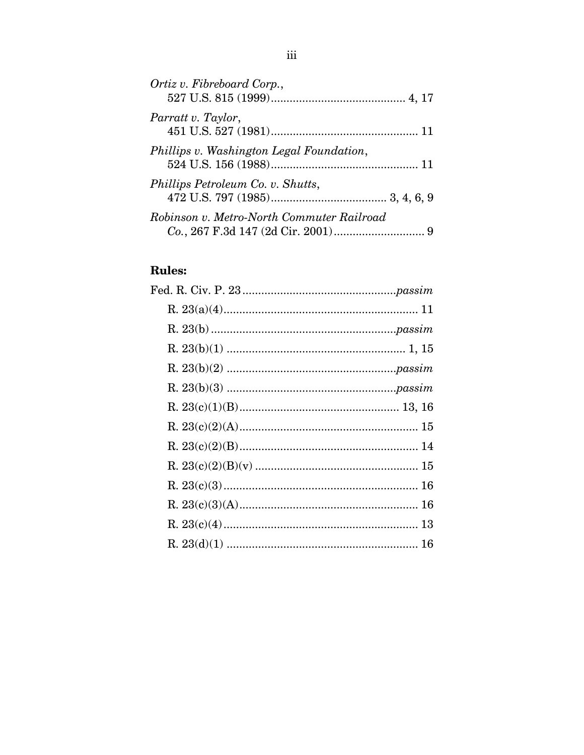| Ortiz v. Fibreboard Corp.,                |  |
|-------------------------------------------|--|
| Parratt v. Taylor,                        |  |
| Phillips v. Washington Legal Foundation,  |  |
| Phillips Petroleum Co. v. Shutts,         |  |
| Robinson v. Metro-North Commuter Railroad |  |

# **Rules:**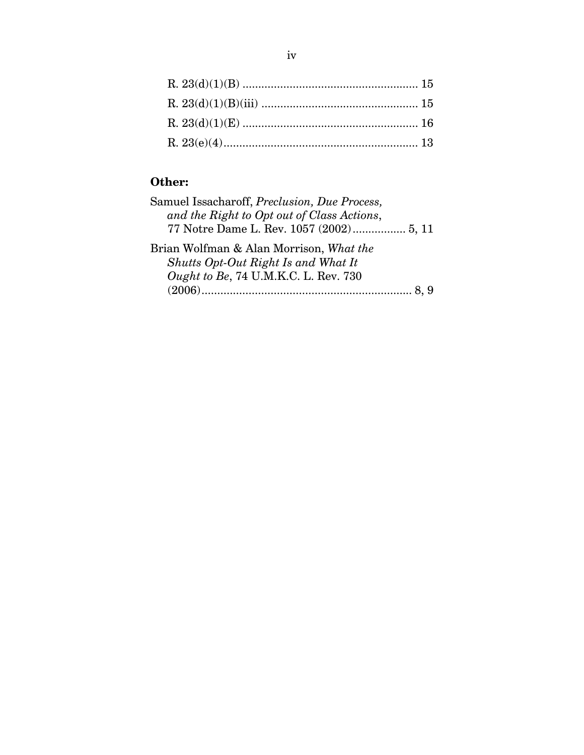## **Other:**

| Samuel Issacharoff, Preclusion, Due Process, |
|----------------------------------------------|
| and the Right to Opt out of Class Actions,   |
| 77 Notre Dame L. Rev. 1057 (2002) 5, 11      |
| Brian Wolfman & Alan Morrison, What the      |
| Shutts Opt-Out Right Is and What It          |
| Ought to Be, 74 U.M.K.C. L. Rev. 730         |
|                                              |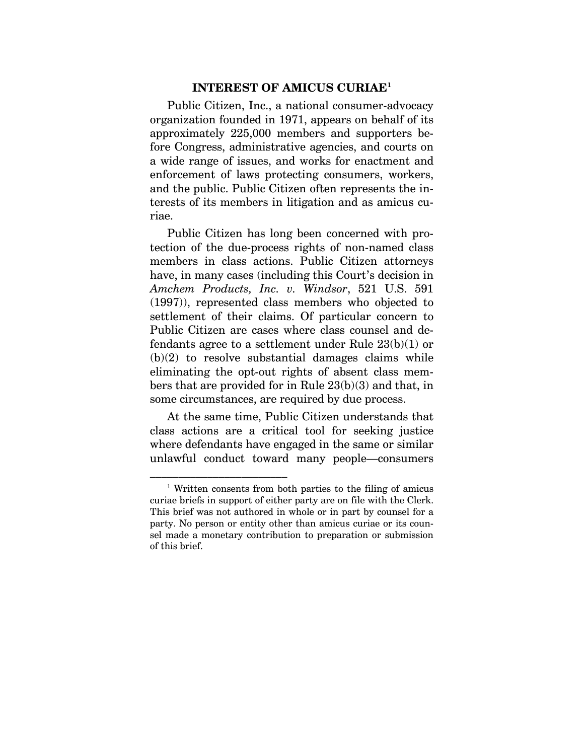#### **INTEREST OF AMICUS CURIAE1**

Public Citizen, Inc., a national consumer-advocacy organization founded in 1971, appears on behalf of its approximately 225,000 members and supporters before Congress, administrative agencies, and courts on a wide range of issues, and works for enactment and enforcement of laws protecting consumers, workers, and the public. Public Citizen often represents the interests of its members in litigation and as amicus curiae.

Public Citizen has long been concerned with protection of the due-process rights of non-named class members in class actions. Public Citizen attorneys have, in many cases (including this Court's decision in *Amchem Products, Inc. v. Windsor*, 521 U.S. 591 (1997)), represented class members who objected to settlement of their claims. Of particular concern to Public Citizen are cases where class counsel and defendants agree to a settlement under Rule  $23(b)(1)$  or  $(b)(2)$  to resolve substantial damages claims while eliminating the opt-out rights of absent class members that are provided for in Rule 23(b)(3) and that, in some circumstances, are required by due process.

At the same time, Public Citizen understands that class actions are a critical tool for seeking justice where defendants have engaged in the same or similar unlawful conduct toward many people—consumers

<sup>–––––––––––––––––––––––– 1</sup> Written consents from both parties to the filing of amicus curiae briefs in support of either party are on file with the Clerk. This brief was not authored in whole or in part by counsel for a party. No person or entity other than amicus curiae or its counsel made a monetary contribution to preparation or submission of this brief.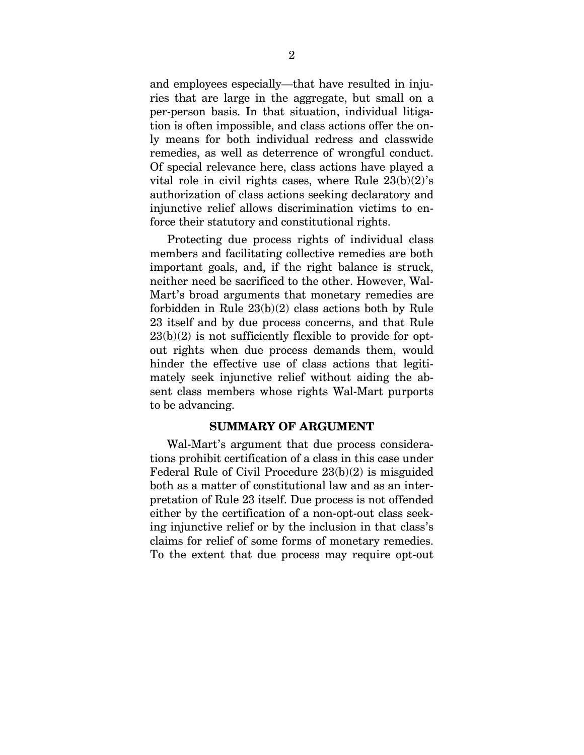and employees especially—that have resulted in injuries that are large in the aggregate, but small on a per-person basis. In that situation, individual litigation is often impossible, and class actions offer the only means for both individual redress and classwide remedies, as well as deterrence of wrongful conduct. Of special relevance here, class actions have played a vital role in civil rights cases, where Rule  $23(b)(2)$ 's authorization of class actions seeking declaratory and injunctive relief allows discrimination victims to enforce their statutory and constitutional rights.

Protecting due process rights of individual class members and facilitating collective remedies are both important goals, and, if the right balance is struck, neither need be sacrificed to the other. However, Wal-Mart's broad arguments that monetary remedies are forbidden in Rule 23(b)(2) class actions both by Rule 23 itself and by due process concerns, and that Rule  $23(b)(2)$  is not sufficiently flexible to provide for optout rights when due process demands them, would hinder the effective use of class actions that legitimately seek injunctive relief without aiding the absent class members whose rights Wal-Mart purports to be advancing.

#### **SUMMARY OF ARGUMENT**

Wal-Mart's argument that due process considerations prohibit certification of a class in this case under Federal Rule of Civil Procedure 23(b)(2) is misguided both as a matter of constitutional law and as an interpretation of Rule 23 itself. Due process is not offended either by the certification of a non-opt-out class seeking injunctive relief or by the inclusion in that class's claims for relief of some forms of monetary remedies. To the extent that due process may require opt-out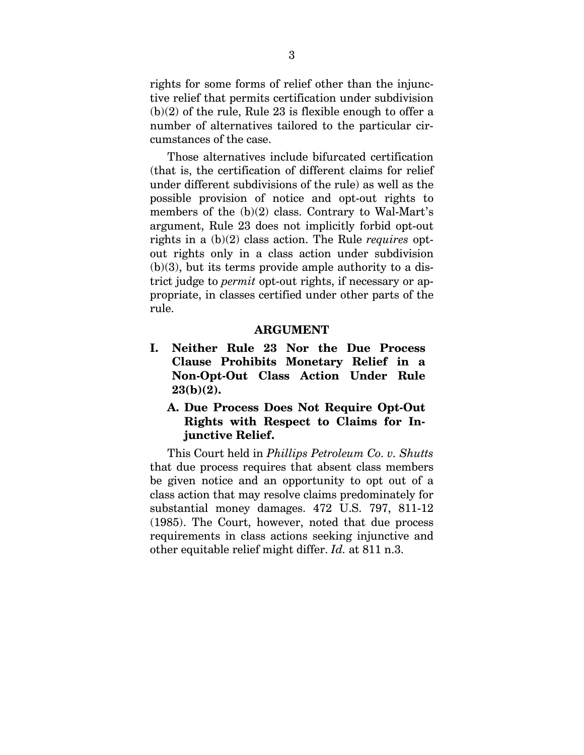rights for some forms of relief other than the injunctive relief that permits certification under subdivision  $(b)(2)$  of the rule, Rule 23 is flexible enough to offer a number of alternatives tailored to the particular circumstances of the case.

Those alternatives include bifurcated certification (that is, the certification of different claims for relief under different subdivisions of the rule) as well as the possible provision of notice and opt-out rights to members of the (b)(2) class. Contrary to Wal-Mart's argument, Rule 23 does not implicitly forbid opt-out rights in a (b)(2) class action. The Rule *requires* optout rights only in a class action under subdivision  $(b)(3)$ , but its terms provide ample authority to a district judge to *permit* opt-out rights, if necessary or appropriate, in classes certified under other parts of the rule.

#### **ARGUMENT**

- **I. Neither Rule 23 Nor the Due Process Clause Prohibits Monetary Relief in a Non-Opt-Out Class Action Under Rule 23(b)(2).** 
	- **A. Due Process Does Not Require Opt-Out Rights with Respect to Claims for Injunctive Relief.**

This Court held in *Phillips Petroleum Co. v. Shutts* that due process requires that absent class members be given notice and an opportunity to opt out of a class action that may resolve claims predominately for substantial money damages. 472 U.S. 797, 811-12 (1985). The Court, however, noted that due process requirements in class actions seeking injunctive and other equitable relief might differ. *Id.* at 811 n.3.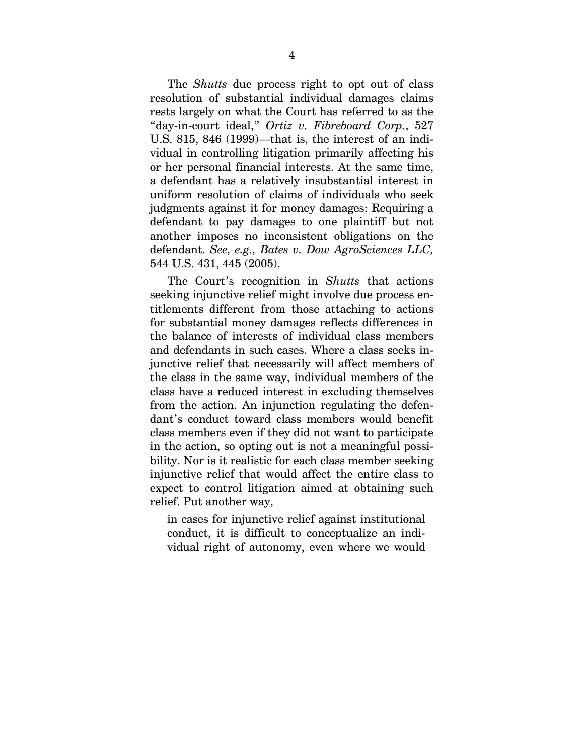The *Shutts* due process right to opt out of class resolution of substantial individual damages claims rests largely on what the Court has referred to as the "day-in-court ideal," *Ortiz v. Fibreboard Corp.*, 527 U.S. 815, 846 (1999)—that is, the interest of an individual in controlling litigation primarily affecting his or her personal financial interests. At the same time, a defendant has a relatively insubstantial interest in uniform resolution of claims of individuals who seek judgments against it for money damages: Requiring a defendant to pay damages to one plaintiff but not another imposes no inconsistent obligations on the defendant. *See, e.g., Bates v. Dow AgroSciences LLC,*  544 U.S. 431, 445 (2005).

The Court's recognition in *Shutts* that actions seeking injunctive relief might involve due process entitlements different from those attaching to actions for substantial money damages reflects differences in the balance of interests of individual class members and defendants in such cases. Where a class seeks injunctive relief that necessarily will affect members of the class in the same way, individual members of the class have a reduced interest in excluding themselves from the action. An injunction regulating the defendant's conduct toward class members would benefit class members even if they did not want to participate in the action, so opting out is not a meaningful possibility. Nor is it realistic for each class member seeking injunctive relief that would affect the entire class to expect to control litigation aimed at obtaining such relief. Put another way,

in cases for injunctive relief against institutional conduct, it is difficult to conceptualize an individual right of autonomy, even where we would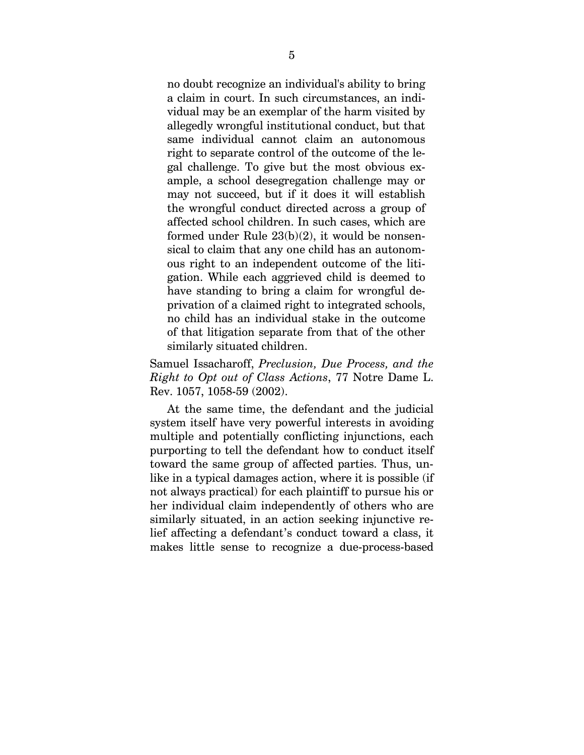no doubt recognize an individual's ability to bring a claim in court. In such circumstances, an individual may be an exemplar of the harm visited by allegedly wrongful institutional conduct, but that same individual cannot claim an autonomous right to separate control of the outcome of the legal challenge. To give but the most obvious example, a school desegregation challenge may or may not succeed, but if it does it will establish the wrongful conduct directed across a group of affected school children. In such cases, which are formed under Rule  $23(b)(2)$ , it would be nonsensical to claim that any one child has an autonomous right to an independent outcome of the litigation. While each aggrieved child is deemed to have standing to bring a claim for wrongful deprivation of a claimed right to integrated schools, no child has an individual stake in the outcome of that litigation separate from that of the other similarly situated children.

Samuel Issacharoff, *Preclusion, Due Process, and the Right to Opt out of Class Actions*, 77 Notre Dame L. Rev. 1057, 1058-59 (2002).

At the same time, the defendant and the judicial system itself have very powerful interests in avoiding multiple and potentially conflicting injunctions, each purporting to tell the defendant how to conduct itself toward the same group of affected parties. Thus, unlike in a typical damages action, where it is possible (if not always practical) for each plaintiff to pursue his or her individual claim independently of others who are similarly situated, in an action seeking injunctive relief affecting a defendant's conduct toward a class, it makes little sense to recognize a due-process-based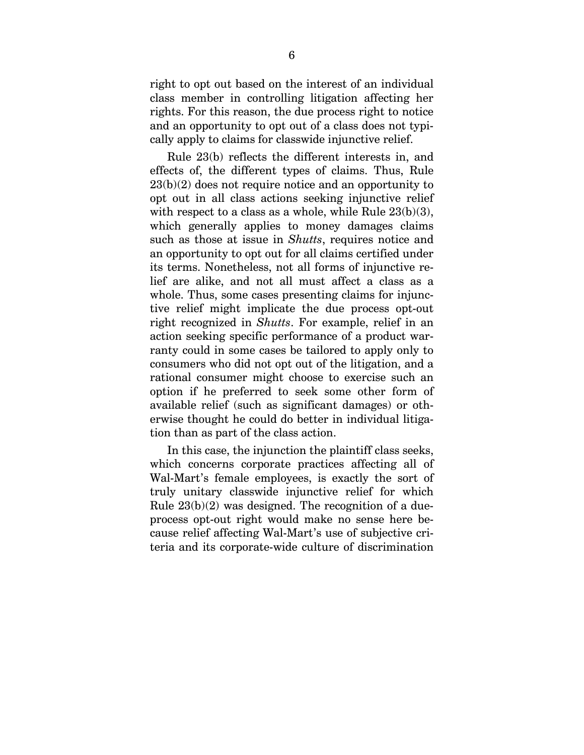right to opt out based on the interest of an individual class member in controlling litigation affecting her rights. For this reason, the due process right to notice and an opportunity to opt out of a class does not typically apply to claims for classwide injunctive relief.

Rule 23(b) reflects the different interests in, and effects of, the different types of claims. Thus, Rule  $23(b)(2)$  does not require notice and an opportunity to opt out in all class actions seeking injunctive relief with respect to a class as a whole, while Rule  $23(b)(3)$ , which generally applies to money damages claims such as those at issue in *Shutts*, requires notice and an opportunity to opt out for all claims certified under its terms. Nonetheless, not all forms of injunctive relief are alike, and not all must affect a class as a whole. Thus, some cases presenting claims for injunctive relief might implicate the due process opt-out right recognized in *Shutts*. For example, relief in an action seeking specific performance of a product warranty could in some cases be tailored to apply only to consumers who did not opt out of the litigation, and a rational consumer might choose to exercise such an option if he preferred to seek some other form of available relief (such as significant damages) or otherwise thought he could do better in individual litigation than as part of the class action.

In this case, the injunction the plaintiff class seeks, which concerns corporate practices affecting all of Wal-Mart's female employees, is exactly the sort of truly unitary classwide injunctive relief for which Rule  $23(b)(2)$  was designed. The recognition of a dueprocess opt-out right would make no sense here because relief affecting Wal-Mart's use of subjective criteria and its corporate-wide culture of discrimination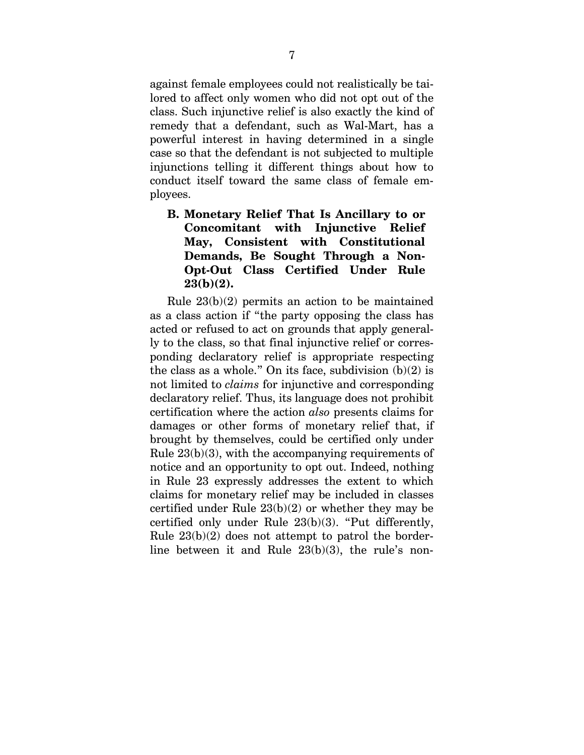against female employees could not realistically be tailored to affect only women who did not opt out of the class. Such injunctive relief is also exactly the kind of remedy that a defendant, such as Wal-Mart, has a powerful interest in having determined in a single case so that the defendant is not subjected to multiple injunctions telling it different things about how to conduct itself toward the same class of female employees.

## **B. Monetary Relief That Is Ancillary to or Concomitant with Injunctive Relief May, Consistent with Constitutional Demands, Be Sought Through a Non-Opt-Out Class Certified Under Rule 23(b)(2).**

Rule 23(b)(2) permits an action to be maintained as a class action if "the party opposing the class has acted or refused to act on grounds that apply generally to the class, so that final injunctive relief or corresponding declaratory relief is appropriate respecting the class as a whole." On its face, subdivision  $(b)(2)$  is not limited to *claims* for injunctive and corresponding declaratory relief. Thus, its language does not prohibit certification where the action *also* presents claims for damages or other forms of monetary relief that, if brought by themselves, could be certified only under Rule 23(b)(3), with the accompanying requirements of notice and an opportunity to opt out. Indeed, nothing in Rule 23 expressly addresses the extent to which claims for monetary relief may be included in classes certified under Rule 23(b)(2) or whether they may be certified only under Rule 23(b)(3). "Put differently, Rule  $23(b)(2)$  does not attempt to patrol the borderline between it and Rule 23(b)(3), the rule's non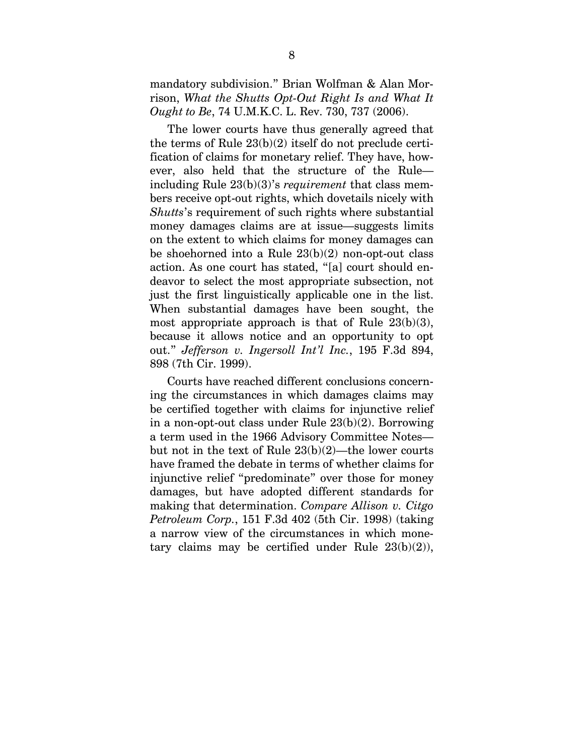mandatory subdivision." Brian Wolfman & Alan Morrison, *What the Shutts Opt-Out Right Is and What It Ought to Be*, 74 U.M.K.C. L. Rev. 730, 737 (2006).

The lower courts have thus generally agreed that the terms of Rule 23(b)(2) itself do not preclude certification of claims for monetary relief. They have, however, also held that the structure of the Rule including Rule 23(b)(3)'s *requirement* that class members receive opt-out rights, which dovetails nicely with *Shutts*'s requirement of such rights where substantial money damages claims are at issue—suggests limits on the extent to which claims for money damages can be shoehorned into a Rule  $23(b)(2)$  non-opt-out class action. As one court has stated, "[a] court should endeavor to select the most appropriate subsection, not just the first linguistically applicable one in the list. When substantial damages have been sought, the most appropriate approach is that of Rule  $23(b)(3)$ , because it allows notice and an opportunity to opt out." *Jefferson v. Ingersoll Int'l Inc.*, 195 F.3d 894, 898 (7th Cir. 1999).

Courts have reached different conclusions concerning the circumstances in which damages claims may be certified together with claims for injunctive relief in a non-opt-out class under Rule 23(b)(2). Borrowing a term used in the 1966 Advisory Committee Notes but not in the text of Rule  $23(b)(2)$ —the lower courts have framed the debate in terms of whether claims for injunctive relief "predominate" over those for money damages, but have adopted different standards for making that determination. *Compare Allison v. Citgo Petroleum Corp.*, 151 F.3d 402 (5th Cir. 1998) (taking a narrow view of the circumstances in which monetary claims may be certified under Rule  $23(b)(2)$ ),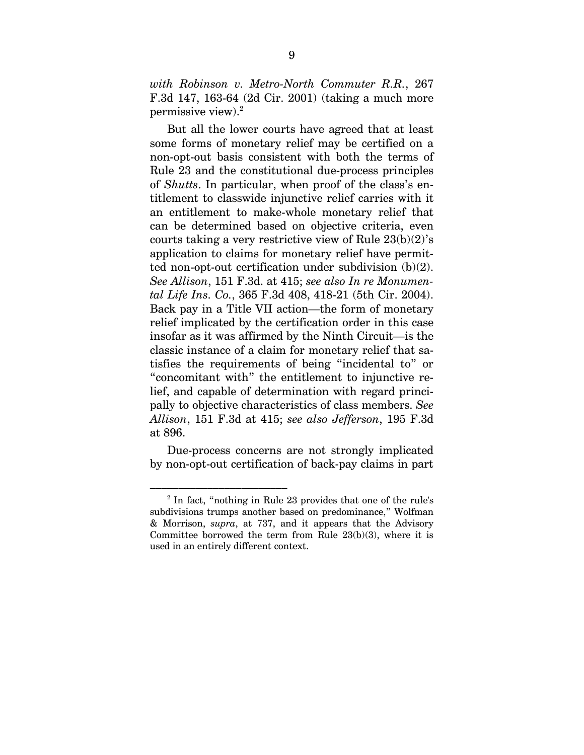*with Robinson v. Metro-North Commuter R.R.*, 267 F.3d 147, 163-64 (2d Cir. 2001) (taking a much more permissive view).<sup>2</sup>

But all the lower courts have agreed that at least some forms of monetary relief may be certified on a non-opt-out basis consistent with both the terms of Rule 23 and the constitutional due-process principles of *Shutts*. In particular, when proof of the class's entitlement to classwide injunctive relief carries with it an entitlement to make-whole monetary relief that can be determined based on objective criteria, even courts taking a very restrictive view of Rule  $23(b)(2)$ 's application to claims for monetary relief have permitted non-opt-out certification under subdivision (b)(2). *See Allison*, 151 F.3d. at 415; *see also In re Monumental Life Ins. Co.*, 365 F.3d 408, 418-21 (5th Cir. 2004). Back pay in a Title VII action—the form of monetary relief implicated by the certification order in this case insofar as it was affirmed by the Ninth Circuit—is the classic instance of a claim for monetary relief that satisfies the requirements of being "incidental to" or "concomitant with" the entitlement to injunctive relief, and capable of determination with regard principally to objective characteristics of class members. *See Allison*, 151 F.3d at 415; *see also Jefferson*, 195 F.3d at 896.

Due-process concerns are not strongly implicated by non-opt-out certification of back-pay claims in part

<sup>–––––––––––––––––––––––– 2</sup> In fact, "nothing in Rule 23 provides that one of the rule's subdivisions trumps another based on predominance," Wolfman & Morrison, *supra*, at 737, and it appears that the Advisory Committee borrowed the term from Rule  $23(b)(3)$ , where it is used in an entirely different context.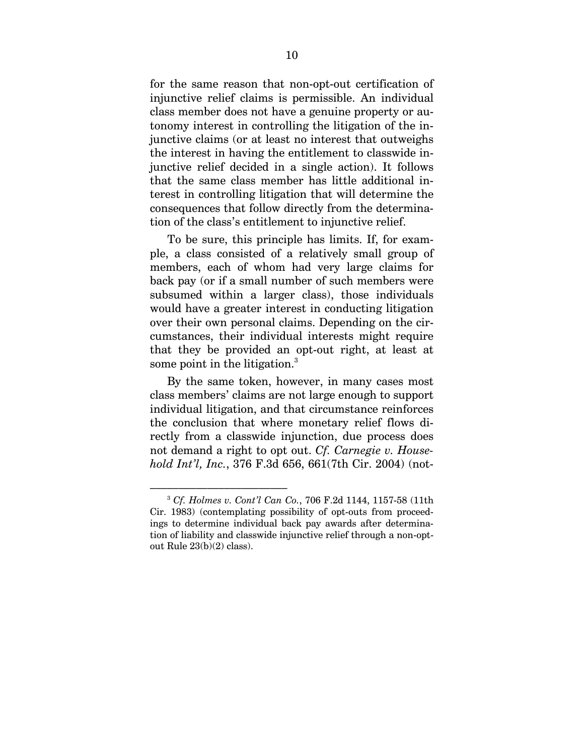for the same reason that non-opt-out certification of injunctive relief claims is permissible. An individual class member does not have a genuine property or autonomy interest in controlling the litigation of the injunctive claims (or at least no interest that outweighs the interest in having the entitlement to classwide injunctive relief decided in a single action). It follows that the same class member has little additional interest in controlling litigation that will determine the consequences that follow directly from the determination of the class's entitlement to injunctive relief.

To be sure, this principle has limits. If, for example, a class consisted of a relatively small group of members, each of whom had very large claims for back pay (or if a small number of such members were subsumed within a larger class), those individuals would have a greater interest in conducting litigation over their own personal claims. Depending on the circumstances, their individual interests might require that they be provided an opt-out right, at least at some point in the litigation.<sup>3</sup>

By the same token, however, in many cases most class members' claims are not large enough to support individual litigation, and that circumstance reinforces the conclusion that where monetary relief flows directly from a classwide injunction, due process does not demand a right to opt out. *Cf. Carnegie v. Household Int'l, Inc.*, 376 F.3d 656, 661(7th Cir. 2004) (not-

<sup>&</sup>lt;sup>3</sup> Cf. Holmes v. Cont'l Can Co., 706 F.2d 1144, 1157-58 (11th Cir. 1983) (contemplating possibility of opt-outs from proceedings to determine individual back pay awards after determination of liability and classwide injunctive relief through a non-optout Rule 23(b)(2) class).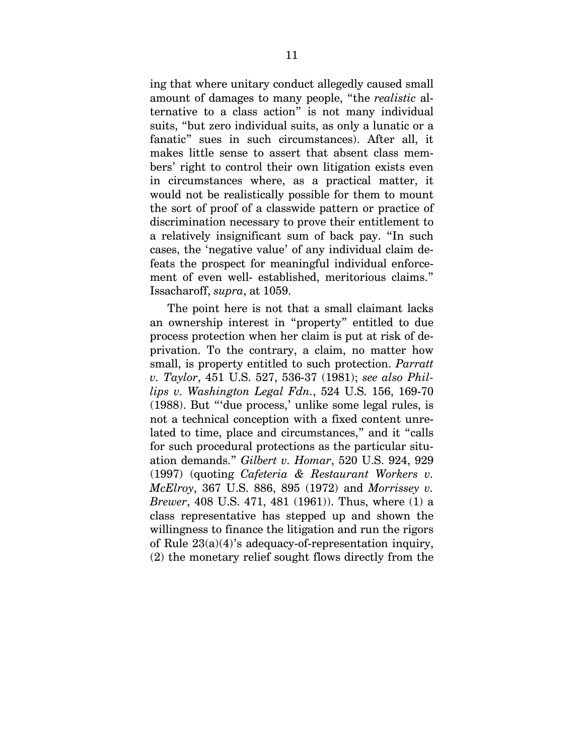ing that where unitary conduct allegedly caused small amount of damages to many people, "the *realistic* alternative to a class action" is not many individual suits, "but zero individual suits, as only a lunatic or a fanatic" sues in such circumstances). After all, it makes little sense to assert that absent class members' right to control their own litigation exists even in circumstances where, as a practical matter, it would not be realistically possible for them to mount the sort of proof of a classwide pattern or practice of discrimination necessary to prove their entitlement to a relatively insignificant sum of back pay. "In such cases, the 'negative value' of any individual claim defeats the prospect for meaningful individual enforcement of even well- established, meritorious claims." Issacharoff, *supra*, at 1059.

The point here is not that a small claimant lacks an ownership interest in "property" entitled to due process protection when her claim is put at risk of deprivation. To the contrary, a claim, no matter how small, is property entitled to such protection. *Parratt v. Taylor*, 451 U.S. 527, 536-37 (1981); *see also Phillips v. Washington Legal Fdn.*, 524 U.S. 156, 169-70 (1988). But "'due process,' unlike some legal rules, is not a technical conception with a fixed content unrelated to time, place and circumstances," and it "calls for such procedural protections as the particular situation demands." *Gilbert v. Homar*, 520 U.S. 924, 929 (1997) (quoting *Cafeteria & Restaurant Workers v. McElroy*, 367 U.S. 886, 895 (1972) and *Morrissey v. Brewer*, 408 U.S. 471, 481 (1961)). Thus, where (1) a class representative has stepped up and shown the willingness to finance the litigation and run the rigors of Rule 23(a)(4)'s adequacy-of-representation inquiry, (2) the monetary relief sought flows directly from the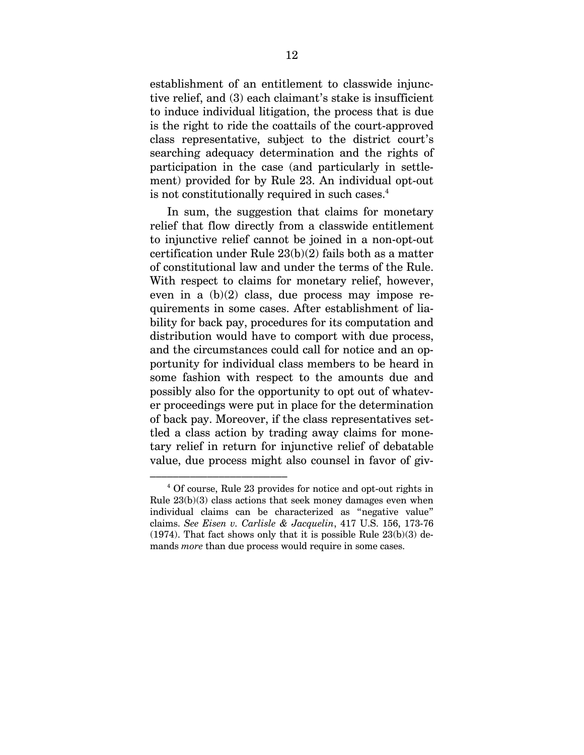establishment of an entitlement to classwide injunctive relief, and (3) each claimant's stake is insufficient to induce individual litigation, the process that is due is the right to ride the coattails of the court-approved class representative, subject to the district court's searching adequacy determination and the rights of participation in the case (and particularly in settlement) provided for by Rule 23. An individual opt-out is not constitutionally required in such cases.<sup>4</sup>

In sum, the suggestion that claims for monetary relief that flow directly from a classwide entitlement to injunctive relief cannot be joined in a non-opt-out certification under Rule 23(b)(2) fails both as a matter of constitutional law and under the terms of the Rule. With respect to claims for monetary relief, however, even in a (b)(2) class, due process may impose requirements in some cases. After establishment of liability for back pay, procedures for its computation and distribution would have to comport with due process, and the circumstances could call for notice and an opportunity for individual class members to be heard in some fashion with respect to the amounts due and possibly also for the opportunity to opt out of whatever proceedings were put in place for the determination of back pay. Moreover, if the class representatives settled a class action by trading away claims for monetary relief in return for injunctive relief of debatable value, due process might also counsel in favor of giv-

<sup>–––––––––––––––––––––––– 4</sup> Of course, Rule 23 provides for notice and opt-out rights in Rule 23(b)(3) class actions that seek money damages even when individual claims can be characterized as "negative value" claims. *See Eisen v. Carlisle & Jacquelin*, 417 U.S. 156, 173-76 (1974). That fact shows only that it is possible Rule  $23(b)(3)$  demands *more* than due process would require in some cases.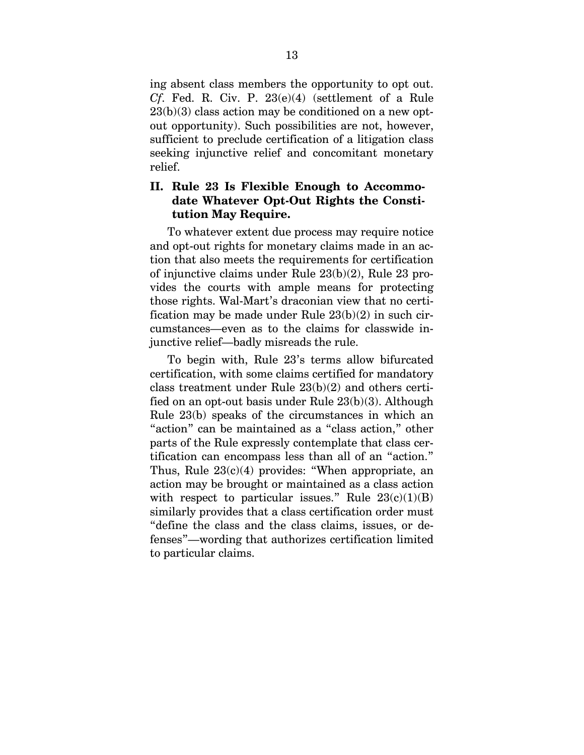ing absent class members the opportunity to opt out. *Cf*. Fed. R. Civ. P. 23(e)(4) (settlement of a Rule  $23(b)(3)$  class action may be conditioned on a new optout opportunity). Such possibilities are not, however, sufficient to preclude certification of a litigation class seeking injunctive relief and concomitant monetary relief.

### **II. Rule 23 Is Flexible Enough to Accommodate Whatever Opt-Out Rights the Constitution May Require.**

To whatever extent due process may require notice and opt-out rights for monetary claims made in an action that also meets the requirements for certification of injunctive claims under Rule 23(b)(2), Rule 23 provides the courts with ample means for protecting those rights. Wal-Mart's draconian view that no certification may be made under Rule 23(b)(2) in such circumstances—even as to the claims for classwide injunctive relief—badly misreads the rule.

To begin with, Rule 23's terms allow bifurcated certification, with some claims certified for mandatory class treatment under Rule 23(b)(2) and others certified on an opt-out basis under Rule 23(b)(3). Although Rule 23(b) speaks of the circumstances in which an "action" can be maintained as a "class action," other parts of the Rule expressly contemplate that class certification can encompass less than all of an "action." Thus, Rule  $23(c)(4)$  provides: "When appropriate, an action may be brought or maintained as a class action with respect to particular issues." Rule  $23(c)(1)(B)$ similarly provides that a class certification order must "define the class and the class claims, issues, or defenses"—wording that authorizes certification limited to particular claims.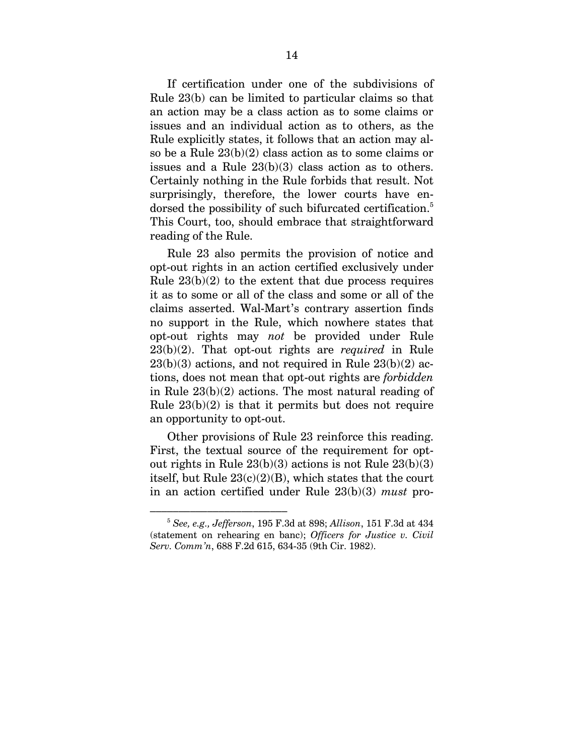If certification under one of the subdivisions of Rule 23(b) can be limited to particular claims so that an action may be a class action as to some claims or issues and an individual action as to others, as the Rule explicitly states, it follows that an action may also be a Rule 23(b)(2) class action as to some claims or issues and a Rule 23(b)(3) class action as to others. Certainly nothing in the Rule forbids that result. Not surprisingly, therefore, the lower courts have endorsed the possibility of such bifurcated certification.<sup>5</sup> This Court, too, should embrace that straightforward reading of the Rule.

Rule 23 also permits the provision of notice and opt-out rights in an action certified exclusively under Rule  $23(b)(2)$  to the extent that due process requires it as to some or all of the class and some or all of the claims asserted. Wal-Mart's contrary assertion finds no support in the Rule, which nowhere states that opt-out rights may *not* be provided under Rule 23(b)(2). That opt-out rights are *required* in Rule  $23(b)(3)$  actions, and not required in Rule  $23(b)(2)$  actions, does not mean that opt-out rights are *forbidden* in Rule 23(b)(2) actions. The most natural reading of Rule  $23(b)(2)$  is that it permits but does not require an opportunity to opt-out.

Other provisions of Rule 23 reinforce this reading. First, the textual source of the requirement for optout rights in Rule 23(b)(3) actions is not Rule 23(b)(3) itself, but Rule  $23(c)(2)(B)$ , which states that the court in an action certified under Rule 23(b)(3) *must* pro-

<sup>–––––––––––––––––––––––– 5</sup> *See, e.g., Jefferson*, 195 F.3d at 898; *Allison*, 151 F.3d at 434 (statement on rehearing en banc); *Officers for Justice v. Civil Serv. Comm'n*, 688 F.2d 615, 634-35 (9th Cir. 1982).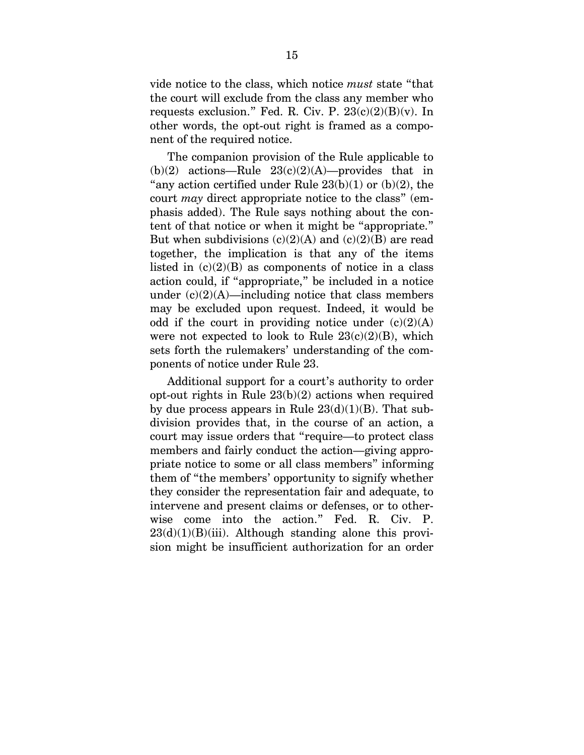vide notice to the class, which notice *must* state "that the court will exclude from the class any member who requests exclusion." Fed. R. Civ. P.  $23(c)(2)(B)(v)$ . In other words, the opt-out right is framed as a component of the required notice.

The companion provision of the Rule applicable to (b)(2) actions—Rule  $23(c)(2)(A)$ —provides that in "any action certified under Rule  $23(b)(1)$  or  $(b)(2)$ , the court *may* direct appropriate notice to the class" (emphasis added). The Rule says nothing about the content of that notice or when it might be "appropriate." But when subdivisions  $(c)(2)(A)$  and  $(c)(2)(B)$  are read together, the implication is that any of the items listed in  $(c)(2)(B)$  as components of notice in a class action could, if "appropriate," be included in a notice under  $(c)(2)(A)$ —including notice that class members may be excluded upon request. Indeed, it would be odd if the court in providing notice under  $(c)(2)(A)$ were not expected to look to Rule  $23(c)(2)(B)$ , which sets forth the rulemakers' understanding of the components of notice under Rule 23.

Additional support for a court's authority to order opt-out rights in Rule 23(b)(2) actions when required by due process appears in Rule  $23(d)(1)(B)$ . That subdivision provides that, in the course of an action, a court may issue orders that "require—to protect class members and fairly conduct the action—giving appropriate notice to some or all class members" informing them of "the members' opportunity to signify whether they consider the representation fair and adequate, to intervene and present claims or defenses, or to otherwise come into the action." Fed. R. Civ. P.  $23(d)(1)(B)(iii)$ . Although standing alone this provision might be insufficient authorization for an order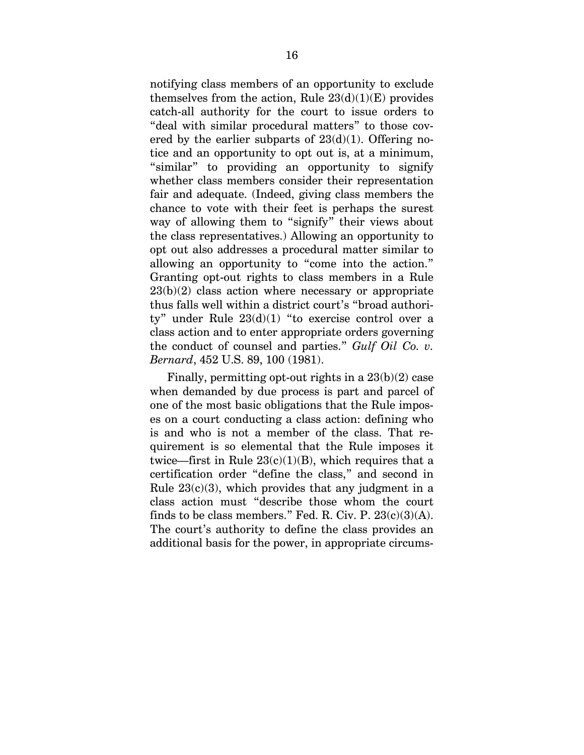notifying class members of an opportunity to exclude themselves from the action, Rule  $23(d)(1)(E)$  provides catch-all authority for the court to issue orders to "deal with similar procedural matters" to those covered by the earlier subparts of  $23(d)(1)$ . Offering notice and an opportunity to opt out is, at a minimum, "similar" to providing an opportunity to signify whether class members consider their representation fair and adequate. (Indeed, giving class members the chance to vote with their feet is perhaps the surest way of allowing them to "signify" their views about the class representatives.) Allowing an opportunity to opt out also addresses a procedural matter similar to allowing an opportunity to "come into the action." Granting opt-out rights to class members in a Rule  $23(b)(2)$  class action where necessary or appropriate thus falls well within a district court's "broad authority" under Rule  $23(d)(1)$  "to exercise control over a class action and to enter appropriate orders governing the conduct of counsel and parties." *Gulf Oil Co. v. Bernard*, 452 U.S. 89, 100 (1981).

Finally, permitting opt-out rights in a  $23(b)(2)$  case when demanded by due process is part and parcel of one of the most basic obligations that the Rule imposes on a court conducting a class action: defining who is and who is not a member of the class. That requirement is so elemental that the Rule imposes it twice—first in Rule  $23(c)(1)(B)$ , which requires that a certification order "define the class," and second in Rule  $23(c)(3)$ , which provides that any judgment in a class action must "describe those whom the court finds to be class members." Fed. R. Civ. P.  $23(c)(3)(A)$ . The court's authority to define the class provides an additional basis for the power, in appropriate circums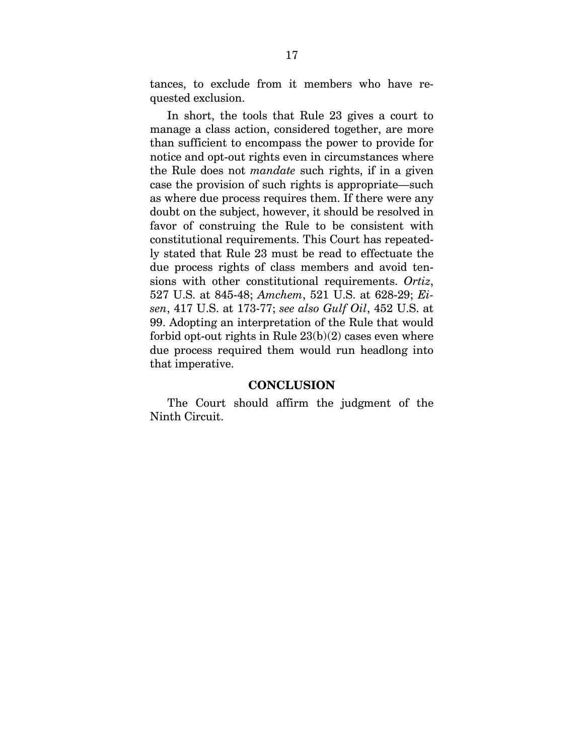tances, to exclude from it members who have requested exclusion.

In short, the tools that Rule 23 gives a court to manage a class action, considered together, are more than sufficient to encompass the power to provide for notice and opt-out rights even in circumstances where the Rule does not *mandate* such rights, if in a given case the provision of such rights is appropriate—such as where due process requires them. If there were any doubt on the subject, however, it should be resolved in favor of construing the Rule to be consistent with constitutional requirements. This Court has repeatedly stated that Rule 23 must be read to effectuate the due process rights of class members and avoid tensions with other constitutional requirements. *Ortiz*, 527 U.S. at 845-48; *Amchem*, 521 U.S. at 628-29; *Eisen*, 417 U.S. at 173-77; *see also Gulf Oil*, 452 U.S. at 99. Adopting an interpretation of the Rule that would forbid opt-out rights in Rule  $23(b)(2)$  cases even where due process required them would run headlong into that imperative.

#### **CONCLUSION**

The Court should affirm the judgment of the Ninth Circuit.